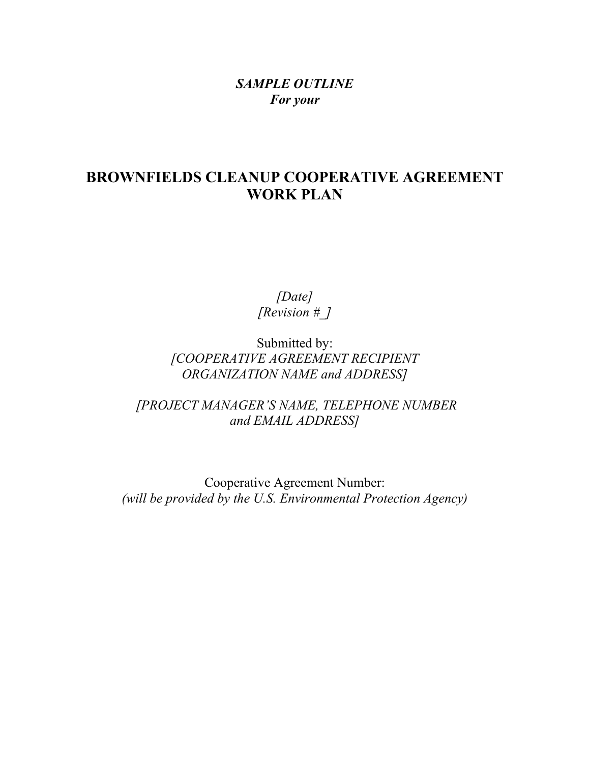### *SAMPLE OUTLINE For your*

### **BROWNFIELDS CLEANUP COOPERATIVE AGREEMENT WORK PLAN**

*[Date] [Revision #\_]*

Submitted by: *[COOPERATIVE AGREEMENT RECIPIENT ORGANIZATION NAME and ADDRESS]*

*[PROJECT MANAGER'S NAME, TELEPHONE NUMBER and EMAIL ADDRESS]*

Cooperative Agreement Number: *(will be provided by the U.S. Environmental Protection Agency)*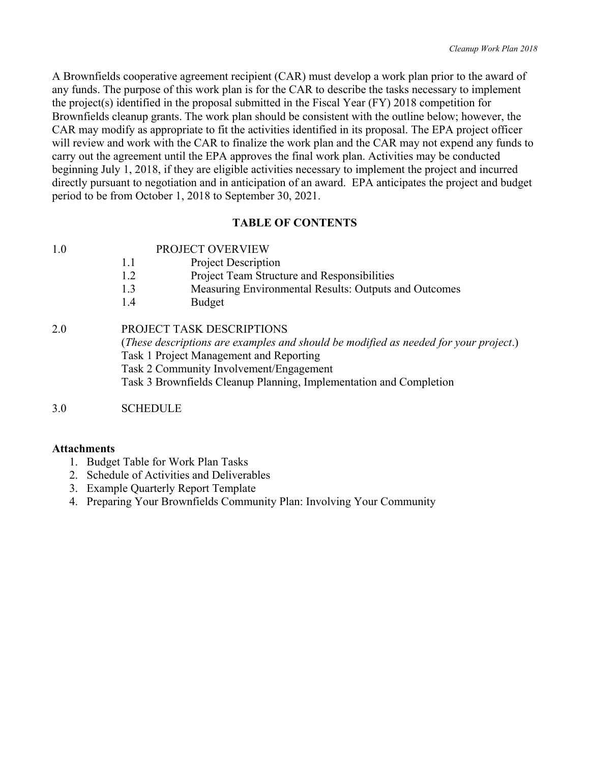A Brownfields cooperative agreement recipient (CAR) must develop a work plan prior to the award of any funds. The purpose of this work plan is for the CAR to describe the tasks necessary to implement the project(s) identified in the proposal submitted in the Fiscal Year (FY) 2018 competition for Brownfields cleanup grants. The work plan should be consistent with the outline below; however, the CAR may modify as appropriate to fit the activities identified in its proposal. The EPA project officer will review and work with the CAR to finalize the work plan and the CAR may not expend any funds to carry out the agreement until the EPA approves the final work plan. Activities may be conducted beginning July 1, 2018, if they are eligible activities necessary to implement the project and incurred directly pursuant to negotiation and in anticipation of an award. EPA anticipates the project and budget period to be from October 1, 2018 to September 30, 2021.

#### **TABLE OF CONTENTS**

- 1.1 Project Description
- 1.2 Project Team Structure and Responsibilities
- 1.3 Measuring Environmental Results: Outputs and Outcomes
- 1.4 Budget

2.0 PROJECT TASK DESCRIPTIONS (*These descriptions are examples and should be modified as needed for your project*.) Task 1 Project Management and Reporting Task 2 Community Involvement/Engagement Task 3 Brownfields Cleanup Planning, Implementation and Completion

#### 3.0 SCHEDULE

#### **Attachments**

- 1. Budget Table for Work Plan Tasks
- 2. Schedule of Activities and Deliverables
- 3. Example Quarterly Report Template
- 4. Preparing Your Brownfields Community Plan: Involving Your Community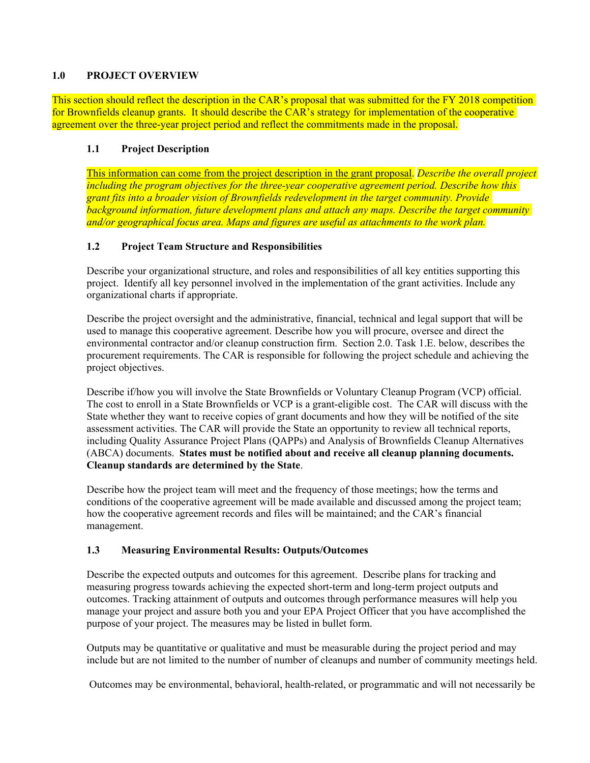#### **1.0 PROJECT OVERVIEW**

This section should reflect the description in the CAR's proposal that was submitted for the FY 2018 competition for Brownfields cleanup grants. It should describe the CAR's strategy for implementation of the cooperative agreement over the three-year project period and reflect the commitments made in the proposal.

#### **1.1 Project Description**

This information can come from the project description in the grant proposal. *Describe the overall project including the program objectives for the three-year cooperative agreement period. Describe how this grant fits into a broader vision of Brownfields redevelopment in the target community. Provide background information, future development plans and attach any maps. Describe the target community and/or geographical focus area. Maps and figures are useful as attachments to the work plan.*

#### **1.2 Project Team Structure and Responsibilities**

Describe your organizational structure, and roles and responsibilities of all key entities supporting this project. Identify all key personnel involved in the implementation of the grant activities. Include any organizational charts if appropriate.

Describe the project oversight and the administrative, financial, technical and legal support that will be used to manage this cooperative agreement. Describe how you will procure, oversee and direct the environmental contractor and/or cleanup construction firm. Section 2.0. Task 1.E. below, describes the procurement requirements. The CAR is responsible for following the project schedule and achieving the project objectives.

Describe if/how you will involve the State Brownfields or Voluntary Cleanup Program (VCP) official. The cost to enroll in a State Brownfields or VCP is a grant-eligible cost. The CAR will discuss with the State whether they want to receive copies of grant documents and how they will be notified of the site assessment activities. The CAR will provide the State an opportunity to review all technical reports, including Quality Assurance Project Plans (QAPPs) and Analysis of Brownfields Cleanup Alternatives (ABCA) documents. **States must be notified about and receive all cleanup planning documents. Cleanup standards are determined by the State**.

Describe how the project team will meet and the frequency of those meetings; how the terms and conditions of the cooperative agreement will be made available and discussed among the project team; how the cooperative agreement records and files will be maintained; and the CAR's financial management.

#### **1.3 Measuring Environmental Results: Outputs/Outcomes**

Describe the expected outputs and outcomes for this agreement. Describe plans for tracking and measuring progress towards achieving the expected short-term and long-term project outputs and outcomes. Tracking attainment of outputs and outcomes through performance measures will help you manage your project and assure both you and your EPA Project Officer that you have accomplished the purpose of your project. The measures may be listed in bullet form.

Outputs may be quantitative or qualitative and must be measurable during the project period and may include but are not limited to the number of number of cleanups and number of community meetings held.

Outcomes may be environmental, behavioral, health-related, or programmatic and will not necessarily be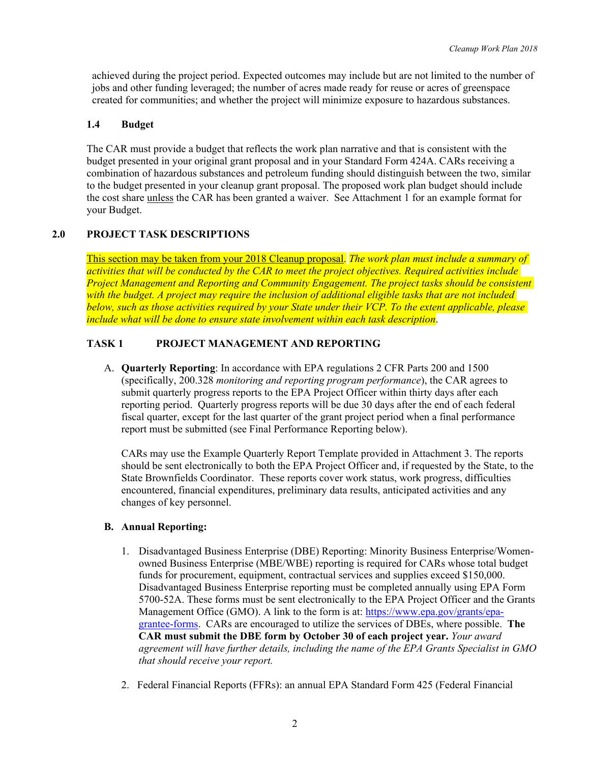achieved during the project period. Expected outcomes may include but are not limited to the number of jobs and other funding leveraged; the number of acres made ready for reuse or acres of greenspace created for communities; and whether the project will minimize exposure to hazardous substances.

#### **1.4 Budget**

The CAR must provide a budget that reflects the work plan narrative and that is consistent with the budget presented in your original grant proposal and in your Standard Form 424A. CARs receiving a combination of hazardous substances and petroleum funding should distinguish between the two, similar to the budget presented in your cleanup grant proposal. The proposed work plan budget should include the cost share unless the CAR has been granted a waiver. See Attachment 1 for an example format for your Budget.

#### **2.0 PROJECT TASK DESCRIPTIONS**

This section may be taken from your 2018 Cleanup proposal. *The work plan must include a summary of activities that will be conducted by the CAR to meet the project objectives. Required activities include Project Management and Reporting and Community Engagement. The project tasks should be consistent with the budget. A project may require the inclusion of additional eligible tasks that are not included below, such as those activities required by your State under their VCP. To the extent applicable, please include what will be done to ensure state involvement within each task description*.

#### **TASK 1 PROJECT MANAGEMENT AND REPORTING**

A. **Quarterly Reporting**: In accordance with EPA regulations 2 CFR Parts 200 and 1500 (specifically, 200.328 *monitoring and reporting program performance*), the CAR agrees to submit quarterly progress reports to the EPA Project Officer within thirty days after each reporting period. Quarterly progress reports will be due 30 days after the end of each federal fiscal quarter, except for the last quarter of the grant project period when a final performance report must be submitted (see Final Performance Reporting below).

CARs may use the Example Quarterly Report Template provided in Attachment 3. The reports should be sent electronically to both the EPA Project Officer and, if requested by the State, to the State Brownfields Coordinator. These reports cover work status, work progress, difficulties encountered, financial expenditures, preliminary data results, anticipated activities and any changes of key personnel.

#### **B. Annual Reporting:**

- 1. Disadvantaged Business Enterprise (DBE) Reporting: Minority Business Enterprise/Womenowned Business Enterprise (MBE/WBE) reporting is required for CARs whose total budget funds for procurement, equipment, contractual services and supplies exceed \$150,000. Disadvantaged Business Enterprise reporting must be completed annually using EPA Form 5700-52A. These forms must be sent electronically to the EPA Project Officer and the Grants Management Office (GMO). A link to the form is at: [https://www.epa.gov/grants/epa](https://www.epa.gov/grants/epa-grantee-forms)[grantee-forms.](https://www.epa.gov/grants/epa-grantee-forms) CARs are encouraged to utilize the services of DBEs, where possible. **The CAR must submit the DBE form by October 30 of each project year.** *Your award agreement will have further details, including the name of the EPA Grants Specialist in GMO that should receive your report.*
- 2. Federal Financial Reports (FFRs): an annual EPA Standard Form 425 (Federal Financial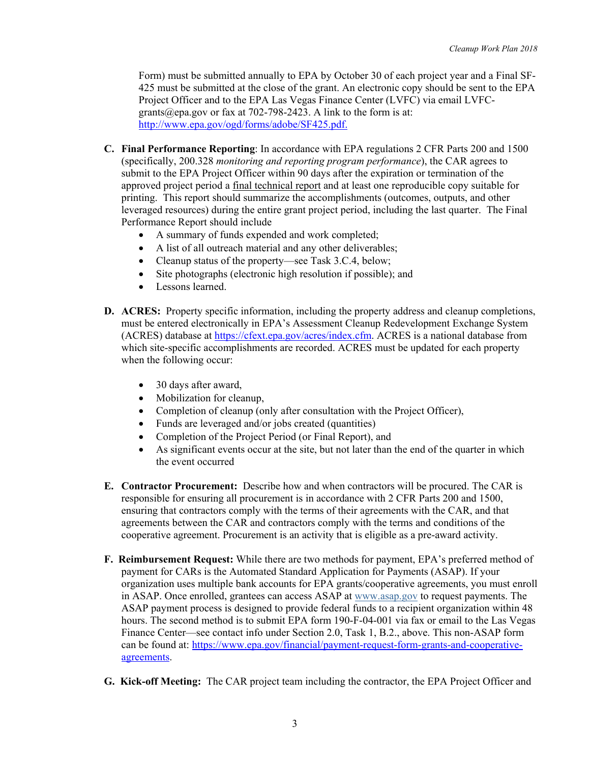Form) must be submitted annually to EPA by October 30 of each project year and a Final SF-425 must be submitted at the close of the grant. An electronic copy should be sent to the EPA Project Officer and to the EPA Las Vegas Finance Center (LVFC) via email LVFCgrants@epa.gov or fax at 702-798-2423. A link to the form is at: [http://www.epa.gov/ogd/forms/adobe/SF425.pdf.](http://www.epa.gov/ogd/forms/adobe/SF425.pdf)

- **C. Final Performance Reporting**: In accordance with EPA regulations 2 CFR Parts 200 and 1500 (specifically, 200.328 *monitoring and reporting program performance*), the CAR agrees to submit to the EPA Project Officer within 90 days after the expiration or termination of the approved project period a final technical report and at least one reproducible copy suitable for printing. This report should summarize the accomplishments (outcomes, outputs, and other leveraged resources) during the entire grant project period, including the last quarter. The Final Performance Report should include
	- A summary of funds expended and work completed;
	- A list of all outreach material and any other deliverables;
	- Cleanup status of the property—see Task 3.C.4, below;
	- Site photographs (electronic high resolution if possible); and
	- Lessons learned.
- **D. ACRES:** Property specific information, including the property address and cleanup completions, must be entered electronically in EPA's Assessment Cleanup Redevelopment Exchange System (ACRES) database at [https://cfext.epa.gov/acres/index.cfm.](https://cfext.epa.gov/acres/index.cfm) ACRES is a national database from which site-specific accomplishments are recorded. ACRES must be updated for each property when the following occur:
	- 30 days after award,
	- Mobilization for cleanup,
	- Completion of cleanup (only after consultation with the Project Officer),
	- Funds are leveraged and/or jobs created (quantities)
	- Completion of the Project Period (or Final Report), and
	- As significant events occur at the site, but not later than the end of the quarter in which the event occurred
- **E. Contractor Procurement:** Describe how and when contractors will be procured. The CAR is responsible for ensuring all procurement is in accordance with 2 CFR Parts 200 and 1500, ensuring that contractors comply with the terms of their agreements with the CAR, and that agreements between the CAR and contractors comply with the terms and conditions of the cooperative agreement. Procurement is an activity that is eligible as a pre-award activity.
- **F. Reimbursement Request:** While there are two methods for payment, EPA's preferred method of payment for CARs is the Automated Standard Application for Payments (ASAP). If your organization uses multiple bank accounts for EPA grants/cooperative agreements, you must enroll in ASAP. Once enrolled, grantees can access ASAP at [www.asap.gov](https://www.asap.gov/ASAPGov/) to request payments. The ASAP payment process is designed to provide federal funds to a recipient organization within 48 hours. The second method is to submit EPA form 190-F-04-001 via fax or email to the Las Vegas Finance Center—see contact info under Section 2.0, Task 1, B.2., above. This non-ASAP form can be found at: [https://www.epa.gov/financial/payment-request-form-grants-and-cooperative](https://www.epa.gov/financial/payment-request-form-grants-and-cooperative-agreements)[agreements.](https://www.epa.gov/financial/payment-request-form-grants-and-cooperative-agreements)
- **G. Kick-off Meeting:** The CAR project team including the contractor, the EPA Project Officer and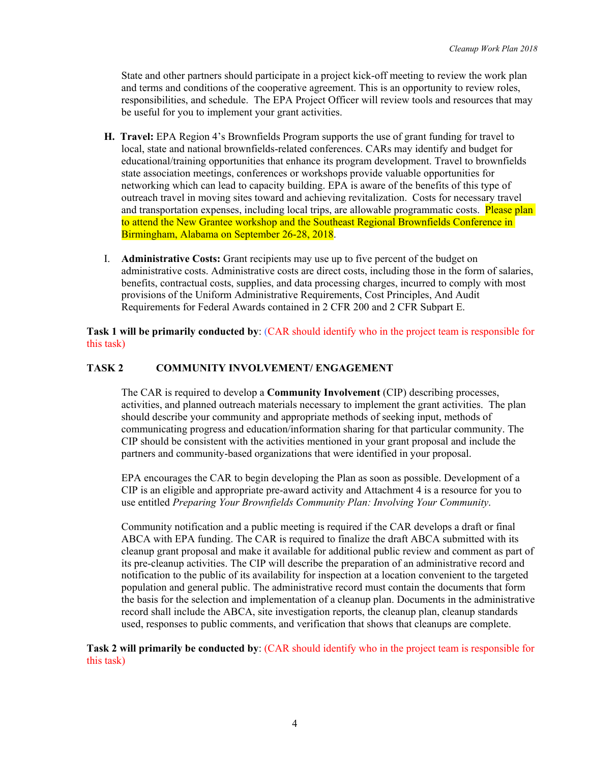State and other partners should participate in a project kick-off meeting to review the work plan and terms and conditions of the cooperative agreement. This is an opportunity to review roles, responsibilities, and schedule. The EPA Project Officer will review tools and resources that may be useful for you to implement your grant activities.

- **H. Travel:** EPA Region 4's Brownfields Program supports the use of grant funding for travel to local, state and national brownfields-related conferences. CARs may identify and budget for educational/training opportunities that enhance its program development. Travel to brownfields state association meetings, conferences or workshops provide valuable opportunities for networking which can lead to capacity building. EPA is aware of the benefits of this type of outreach travel in moving sites toward and achieving revitalization. Costs for necessary travel and transportation expenses, including local trips, are allowable programmatic costs. Please plan to attend the New Grantee workshop and the Southeast Regional Brownfields Conference in Birmingham, Alabama on September 26-28, 2018.
- I. **Administrative Costs:** Grant recipients may use up to five percent of the budget on administrative costs. Administrative costs are direct costs, including those in the form of salaries, benefits, contractual costs, supplies, and data processing charges, incurred to comply with most provisions of the Uniform Administrative Requirements, Cost Principles, And Audit Requirements for Federal Awards contained in 2 CFR 200 and 2 CFR Subpart E.

**Task 1 will be primarily conducted by**: (CAR should identify who in the project team is responsible for this task)

#### **TASK 2 COMMUNITY INVOLVEMENT/ ENGAGEMENT**

The CAR is required to develop a **Community Involvement** (CIP) describing processes, activities, and planned outreach materials necessary to implement the grant activities. The plan should describe your community and appropriate methods of seeking input, methods of communicating progress and education/information sharing for that particular community. The CIP should be consistent with the activities mentioned in your grant proposal and include the partners and community-based organizations that were identified in your proposal.

EPA encourages the CAR to begin developing the Plan as soon as possible. Development of a CIP is an eligible and appropriate pre-award activity and Attachment 4 is a resource for you to use entitled *Preparing Your Brownfields Community Plan: Involving Your Community*.

Community notification and a public meeting is required if the CAR develops a draft or final ABCA with EPA funding. The CAR is required to finalize the draft ABCA submitted with its cleanup grant proposal and make it available for additional public review and comment as part of its pre-cleanup activities. The CIP will describe the preparation of an administrative record and notification to the public of its availability for inspection at a location convenient to the targeted population and general public. The administrative record must contain the documents that form the basis for the selection and implementation of a cleanup plan. Documents in the administrative record shall include the ABCA, site investigation reports, the cleanup plan, cleanup standards used, responses to public comments, and verification that shows that cleanups are complete.

**Task 2 will primarily be conducted by**: (CAR should identify who in the project team is responsible for this task)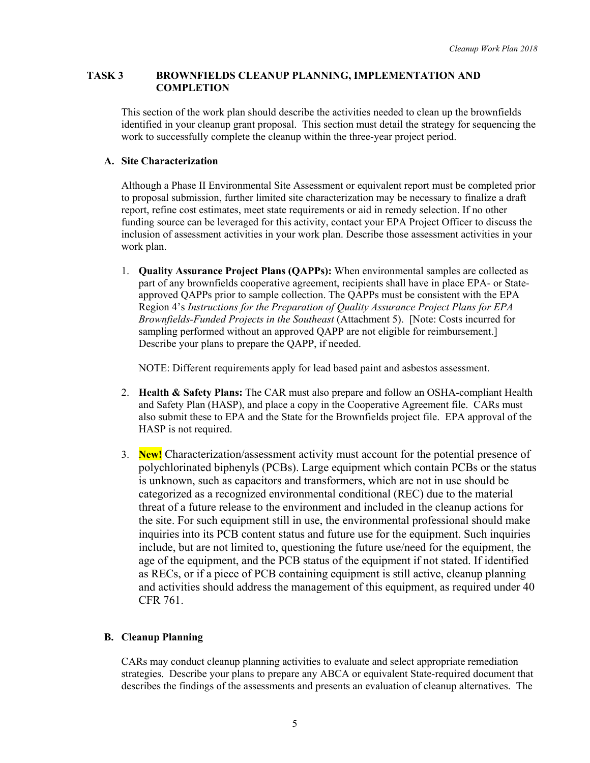#### **TASK 3 BROWNFIELDS CLEANUP PLANNING, IMPLEMENTATION AND COMPLETION**

This section of the work plan should describe the activities needed to clean up the brownfields identified in your cleanup grant proposal. This section must detail the strategy for sequencing the work to successfully complete the cleanup within the three-year project period.

#### **A. Site Characterization**

Although a Phase II Environmental Site Assessment or equivalent report must be completed prior to proposal submission, further limited site characterization may be necessary to finalize a draft report, refine cost estimates, meet state requirements or aid in remedy selection. If no other funding source can be leveraged for this activity, contact your EPA Project Officer to discuss the inclusion of assessment activities in your work plan. Describe those assessment activities in your work plan.

1. **Quality Assurance Project Plans (QAPPs):** When environmental samples are collected as part of any brownfields cooperative agreement, recipients shall have in place EPA- or Stateapproved QAPPs prior to sample collection. The QAPPs must be consistent with the EPA Region 4's *Instructions for the Preparation of Quality Assurance Project Plans for EPA Brownfields-Funded Projects in the Southeast* (Attachment 5). [Note: Costs incurred for sampling performed without an approved QAPP are not eligible for reimbursement.] Describe your plans to prepare the QAPP, if needed.

NOTE: Different requirements apply for lead based paint and asbestos assessment.

- 2. **Health & Safety Plans:** The CAR must also prepare and follow an OSHA-compliant Health and Safety Plan (HASP), and place a copy in the Cooperative Agreement file. CARs must also submit these to EPA and the State for the Brownfields project file. EPA approval of the HASP is not required.
- 3. **New!** Characterization/assessment activity must account for the potential presence of polychlorinated biphenyls (PCBs). Large equipment which contain PCBs or the status is unknown, such as capacitors and transformers, which are not in use should be categorized as a recognized environmental conditional (REC) due to the material threat of a future release to the environment and included in the cleanup actions for the site. For such equipment still in use, the environmental professional should make inquiries into its PCB content status and future use for the equipment. Such inquiries include, but are not limited to, questioning the future use/need for the equipment, the age of the equipment, and the PCB status of the equipment if not stated. If identified as RECs, or if a piece of PCB containing equipment is still active, cleanup planning and activities should address the management of this equipment, as required under 40 CFR 761.

#### **B. Cleanup Planning**

CARs may conduct cleanup planning activities to evaluate and select appropriate remediation strategies. Describe your plans to prepare any ABCA or equivalent State-required document that describes the findings of the assessments and presents an evaluation of cleanup alternatives. The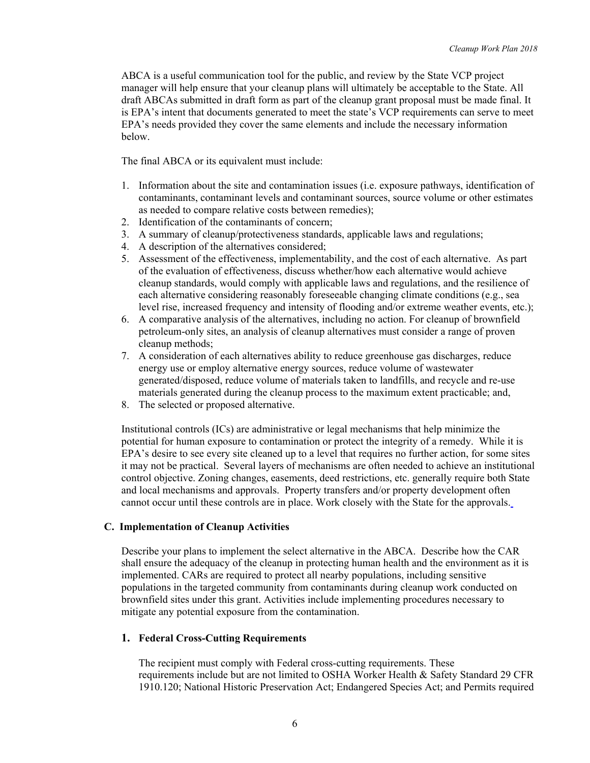ABCA is a useful communication tool for the public, and review by the State VCP project manager will help ensure that your cleanup plans will ultimately be acceptable to the State. All draft ABCAs submitted in draft form as part of the cleanup grant proposal must be made final. It is EPA's intent that documents generated to meet the state's VCP requirements can serve to meet EPA's needs provided they cover the same elements and include the necessary information below.

The final ABCA or its equivalent must include:

- 1. Information about the site and contamination issues (i.e. exposure pathways, identification of contaminants, contaminant levels and contaminant sources, source volume or other estimates as needed to compare relative costs between remedies);
- 2. Identification of the contaminants of concern;
- 3. A summary of cleanup/protectiveness standards, applicable laws and regulations;
- 4. A description of the alternatives considered;
- 5. Assessment of the effectiveness, implementability, and the cost of each alternative. As part of the evaluation of effectiveness, discuss whether/how each alternative would achieve cleanup standards, would comply with applicable laws and regulations, and the resilience of each alternative considering reasonably foreseeable changing climate conditions (e.g., sea level rise, increased frequency and intensity of flooding and/or extreme weather events, etc.);
- 6. A comparative analysis of the alternatives, including no action. For cleanup of brownfield petroleum-only sites, an analysis of cleanup alternatives must consider a range of proven cleanup methods;
- 7. A consideration of each alternatives ability to reduce greenhouse gas discharges, reduce energy use or employ alternative energy sources, reduce volume of wastewater generated/disposed, reduce volume of materials taken to landfills, and recycle and re-use materials generated during the cleanup process to the maximum extent practicable; and,
- 8. The selected or proposed alternative.

Institutional controls (ICs) are administrative or legal mechanisms that help minimize the potential for human exposure to contamination or protect the integrity of a remedy. While it is EPA's desire to see every site cleaned up to a level that requires no further action, for some sites it may not be practical. Several layers of mechanisms are often needed to achieve an institutional control objective. Zoning changes, easements, deed restrictions, etc. generally require both State and local mechanisms and approvals. Property transfers and/or property development often cannot occur until these controls are in place. Work closely with the State for the approvals.

#### **C. Implementation of Cleanup Activities**

Describe your plans to implement the select alternative in the ABCA. Describe how the CAR shall ensure the adequacy of the cleanup in protecting human health and the environment as it is implemented. CARs are required to protect all nearby populations, including sensitive populations in the targeted community from contaminants during cleanup work conducted on brownfield sites under this grant. Activities include implementing procedures necessary to mitigate any potential exposure from the contamination.

#### **1. Federal Cross-Cutting Requirements**

The recipient must comply with Federal cross-cutting requirements. These requirements include but are not limited to OSHA Worker Health & Safety Standard 29 CFR 1910.120; National Historic Preservation Act; Endangered Species Act; and Permits required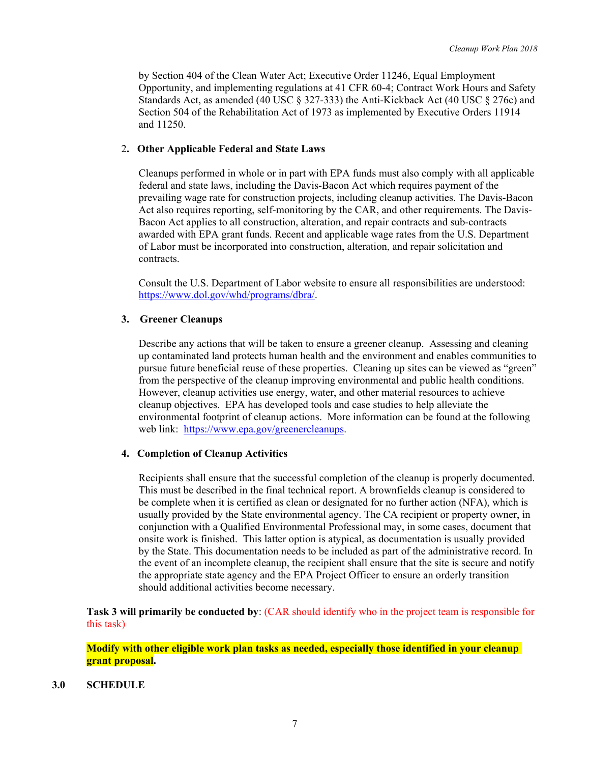by Section 404 of the Clean Water Act; Executive Order 11246, Equal Employment Opportunity, and implementing regulations at 41 CFR 60-4; Contract Work Hours and Safety Standards Act, as amended (40 USC § 327-333) the Anti-Kickback Act (40 USC § 276c) and Section 504 of the Rehabilitation Act of 1973 as implemented by Executive Orders 11914 and 11250.

#### 2**. Other Applicable Federal and State Laws**

Cleanups performed in whole or in part with EPA funds must also comply with all applicable federal and state laws, including the Davis-Bacon Act which requires payment of the prevailing wage rate for construction projects, including cleanup activities. The Davis-Bacon Act also requires reporting, self-monitoring by the CAR, and other requirements. The Davis-Bacon Act applies to all construction, alteration, and repair contracts and sub-contracts awarded with EPA grant funds. Recent and applicable wage rates from the U.S. Department of Labor must be incorporated into construction, alteration, and repair solicitation and contracts.

Consult the U.S. Department of Labor website to ensure all responsibilities are understood: [https://www.dol.gov/whd/programs/dbra/.](https://www.dol.gov/whd/programs/dbra/)

#### **3. Greener Cleanups**

Describe any actions that will be taken to ensure a greener cleanup. Assessing and cleaning up contaminated land protects human health and the environment and enables communities to pursue future beneficial reuse of these properties. Cleaning up sites can be viewed as "green" from the perspective of the cleanup improving environmental and public health conditions. However, cleanup activities use energy, water, and other material resources to achieve cleanup objectives. EPA has developed tools and case studies to help alleviate the environmental footprint of cleanup actions. More information can be found at the following web link: [https://www.epa.gov/greenercleanups.](https://www.epa.gov/greenercleanups)

#### **4. Completion of Cleanup Activities**

Recipients shall ensure that the successful completion of the cleanup is properly documented. This must be described in the final technical report. A brownfields cleanup is considered to be complete when it is certified as clean or designated for no further action (NFA), which is usually provided by the State environmental agency. The CA recipient or property owner, in conjunction with a Qualified Environmental Professional may, in some cases, document that onsite work is finished. This latter option is atypical, as documentation is usually provided by the State. This documentation needs to be included as part of the administrative record. In the event of an incomplete cleanup, the recipient shall ensure that the site is secure and notify the appropriate state agency and the EPA Project Officer to ensure an orderly transition should additional activities become necessary.

**Task 3 will primarily be conducted by:** (CAR should identify who in the project team is responsible for this task)

**Modify with other eligible work plan tasks as needed, especially those identified in your cleanup grant proposal.** 

#### **3.0 SCHEDULE**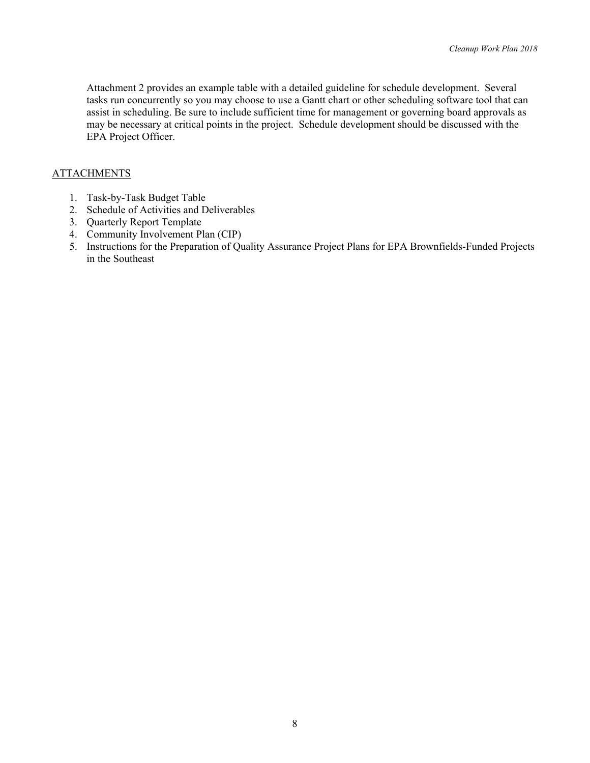Attachment 2 provides an example table with a detailed guideline for schedule development. Several tasks run concurrently so you may choose to use a Gantt chart or other scheduling software tool that can assist in scheduling. Be sure to include sufficient time for management or governing board approvals as may be necessary at critical points in the project. Schedule development should be discussed with the EPA Project Officer.

#### ATTACHMENTS

- 1. Task-by-Task Budget Table
- 2. Schedule of Activities and Deliverables
- 3. Quarterly Report Template
- 4. Community Involvement Plan (CIP)
- 5. Instructions for the Preparation of Quality Assurance Project Plans for EPA Brownfields-Funded Projects in the Southeast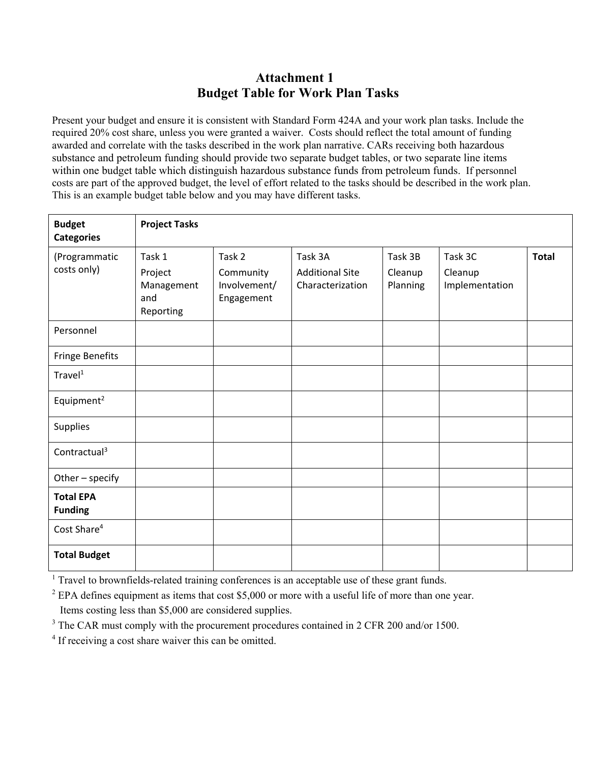### **Attachment 1 Budget Table for Work Plan Tasks**

Present your budget and ensure it is consistent with Standard Form 424A and your work plan tasks. Include the required 20% cost share, unless you were granted a waiver. Costs should reflect the total amount of funding awarded and correlate with the tasks described in the work plan narrative. CARs receiving both hazardous substance and petroleum funding should provide two separate budget tables, or two separate line items within one budget table which distinguish hazardous substance funds from petroleum funds. If personnel costs are part of the approved budget, the level of effort related to the tasks should be described in the work plan. This is an example budget table below and you may have different tasks.

| <b>Budget</b><br><b>Categories</b> | <b>Project Tasks</b>                                |                                                   |                                                       |                                |                                      |              |
|------------------------------------|-----------------------------------------------------|---------------------------------------------------|-------------------------------------------------------|--------------------------------|--------------------------------------|--------------|
| (Programmatic<br>costs only)       | Task 1<br>Project<br>Management<br>and<br>Reporting | Task 2<br>Community<br>Involvement/<br>Engagement | Task 3A<br><b>Additional Site</b><br>Characterization | Task 3B<br>Cleanup<br>Planning | Task 3C<br>Cleanup<br>Implementation | <b>Total</b> |
| Personnel                          |                                                     |                                                   |                                                       |                                |                                      |              |
| Fringe Benefits                    |                                                     |                                                   |                                                       |                                |                                      |              |
| $T$ ravel $1$                      |                                                     |                                                   |                                                       |                                |                                      |              |
| Equipment <sup>2</sup>             |                                                     |                                                   |                                                       |                                |                                      |              |
| <b>Supplies</b>                    |                                                     |                                                   |                                                       |                                |                                      |              |
| Contractual <sup>3</sup>           |                                                     |                                                   |                                                       |                                |                                      |              |
| Other - specify                    |                                                     |                                                   |                                                       |                                |                                      |              |
| <b>Total EPA</b><br><b>Funding</b> |                                                     |                                                   |                                                       |                                |                                      |              |
| Cost Share <sup>4</sup>            |                                                     |                                                   |                                                       |                                |                                      |              |
| <b>Total Budget</b>                |                                                     |                                                   |                                                       |                                |                                      |              |

<sup>1</sup> Travel to brownfields-related training conferences is an acceptable use of these grant funds.

 $2$  EPA defines equipment as items that cost \$5,000 or more with a useful life of more than one year. Items costing less than \$5,000 are considered supplies.

<sup>3</sup> The CAR must comply with the procurement procedures contained in 2 CFR 200 and/or 1500.

<sup>4</sup> If receiving a cost share waiver this can be omitted.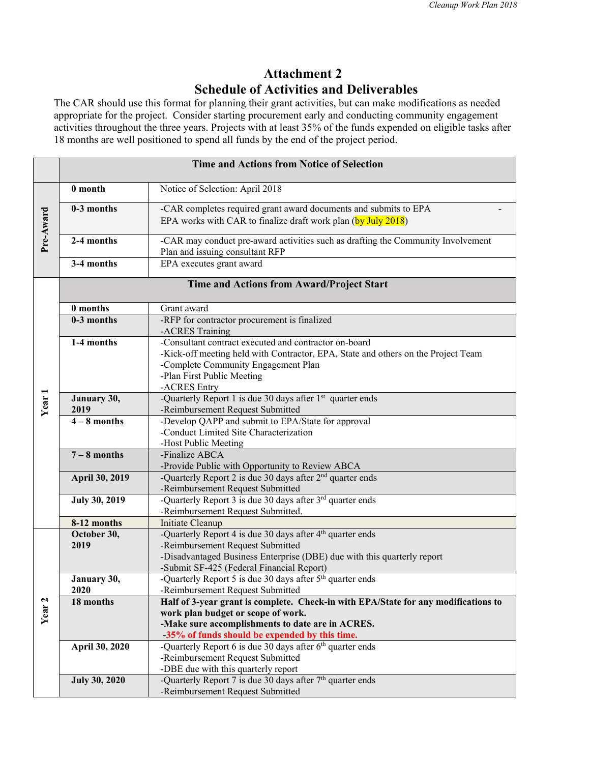### **Attachment 2 Schedule of Activities and Deliverables**

The CAR should use this format for planning their grant activities, but can make modifications as needed appropriate for the project. Consider starting procurement early and conducting community engagement activities throughout the three years. Projects with at least 35% of the funds expended on eligible tasks after 18 months are well positioned to spend all funds by the end of the project period.

|                   |                         | <b>Time and Actions from Notice of Selection</b>                                                            |
|-------------------|-------------------------|-------------------------------------------------------------------------------------------------------------|
|                   | 0 month                 | Notice of Selection: April 2018                                                                             |
| Pre-Award         | 0-3 months              | -CAR completes required grant award documents and submits to EPA                                            |
|                   |                         | EPA works with CAR to finalize draft work plan (by July 2018)                                               |
|                   | 2-4 months              | -CAR may conduct pre-award activities such as drafting the Community Involvement                            |
|                   | 3-4 months              | Plan and issuing consultant RFP<br>EPA executes grant award                                                 |
|                   |                         |                                                                                                             |
|                   |                         | Time and Actions from Award/Project Start                                                                   |
|                   | 0 months                | Grant award                                                                                                 |
|                   | $0-3$ months            | -RFP for contractor procurement is finalized<br>-ACRES Training                                             |
|                   | 1-4 months              | -Consultant contract executed and contractor on-board                                                       |
|                   |                         | -Kick-off meeting held with Contractor, EPA, State and others on the Project Team                           |
|                   |                         | -Complete Community Engagement Plan                                                                         |
|                   |                         | -Plan First Public Meeting<br>-ACRES Entry                                                                  |
|                   | January 30,             | -Quarterly Report 1 is due 30 days after 1 <sup>st</sup> quarter ends                                       |
| Year <sub>1</sub> | 2019                    | -Reimbursement Request Submitted                                                                            |
|                   | $\overline{4-8}$ months | -Develop QAPP and submit to EPA/State for approval                                                          |
|                   |                         | -Conduct Limited Site Characterization                                                                      |
|                   |                         | -Host Public Meeting                                                                                        |
|                   | $7 - 8$ months          | -Finalize ABCA                                                                                              |
|                   |                         | -Provide Public with Opportunity to Review ABCA                                                             |
|                   | April 30, 2019          | -Quarterly Report 2 is due 30 days after 2 <sup>nd</sup> quarter ends                                       |
|                   |                         | -Reimbursement Request Submitted                                                                            |
|                   | <b>July 30, 2019</b>    | -Quarterly Report 3 is due 30 days after $3^{rd}$ quarter ends                                              |
|                   |                         | -Reimbursement Request Submitted.                                                                           |
|                   | 8-12 months             | Initiate Cleanup                                                                                            |
|                   | October 30,             | -Quarterly Report 4 is due 30 days after 4 <sup>th</sup> quarter ends                                       |
|                   | 2019                    | -Reimbursement Request Submitted<br>-Disadvantaged Business Enterprise (DBE) due with this quarterly report |
|                   |                         | -Submit SF-425 (Federal Financial Report)                                                                   |
|                   | January 30,             | -Quarterly Report 5 is due 30 days after 5 <sup>th</sup> quarter ends                                       |
|                   | 2020                    | -Reimbursement Request Submitted                                                                            |
|                   | 18 months               | Half of 3-year grant is complete. Check-in with EPA/State for any modifications to                          |
| Year <sub>2</sub> |                         | work plan budget or scope of work.                                                                          |
|                   |                         | -Make sure accomplishments to date are in ACRES.                                                            |
|                   |                         | -35% of funds should be expended by this time.                                                              |
|                   | April 30, 2020          | -Quarterly Report 6 is due 30 days after $6th$ quarter ends                                                 |
|                   |                         | -Reimbursement Request Submitted                                                                            |
|                   |                         | -DBE due with this quarterly report                                                                         |
|                   | <b>July 30, 2020</b>    | -Quarterly Report 7 is due 30 days after $7th$ quarter ends                                                 |
|                   |                         | -Reimbursement Request Submitted                                                                            |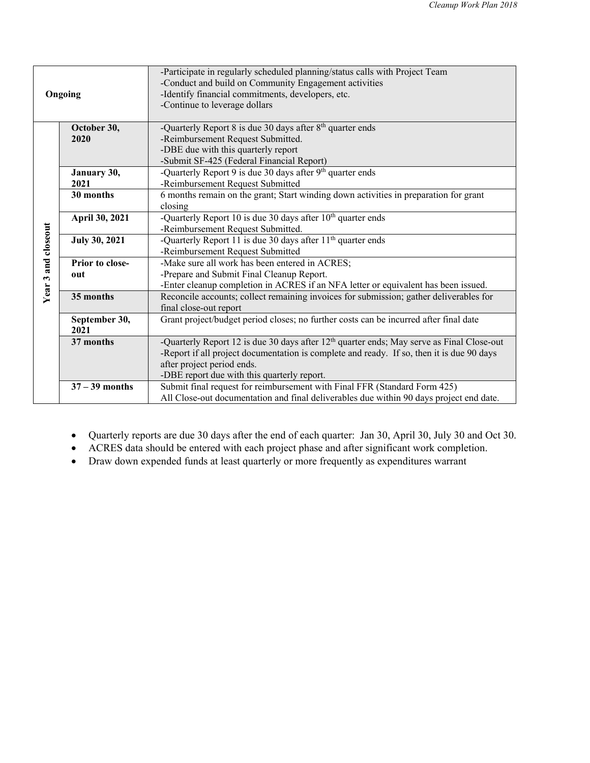| Ongoing             |                      | -Participate in regularly scheduled planning/status calls with Project Team<br>-Conduct and build on Community Engagement activities<br>-Identify financial commitments, developers, etc.<br>-Continue to leverage dollars |
|---------------------|----------------------|----------------------------------------------------------------------------------------------------------------------------------------------------------------------------------------------------------------------------|
|                     |                      |                                                                                                                                                                                                                            |
|                     | October 30,          | -Quarterly Report 8 is due 30 days after 8 <sup>th</sup> quarter ends                                                                                                                                                      |
|                     | 2020                 | -Reimbursement Request Submitted.                                                                                                                                                                                          |
|                     |                      | -DBE due with this quarterly report                                                                                                                                                                                        |
|                     |                      | -Submit SF-425 (Federal Financial Report)                                                                                                                                                                                  |
|                     | January 30,          | -Quarterly Report 9 is due $3\overline{0}$ days after 9 <sup>th</sup> quarter ends                                                                                                                                         |
|                     | 2021                 | -Reimbursement Request Submitted                                                                                                                                                                                           |
|                     | 30 months            | 6 months remain on the grant; Start winding down activities in preparation for grant                                                                                                                                       |
|                     |                      | closing                                                                                                                                                                                                                    |
|                     | April 30, 2021       | -Quarterly Report 10 is due 30 days after $10th$ quarter ends                                                                                                                                                              |
|                     |                      | -Reimbursement Request Submitted.                                                                                                                                                                                          |
|                     | <b>July 30, 2021</b> | -Quarterly Report 11 is due 30 days after 11 <sup>th</sup> quarter ends                                                                                                                                                    |
|                     |                      | -Reimbursement Request Submitted                                                                                                                                                                                           |
|                     | Prior to close-      | -Make sure all work has been entered in ACRES;                                                                                                                                                                             |
|                     | out                  | -Prepare and Submit Final Cleanup Report.                                                                                                                                                                                  |
| Year 3 and closeout |                      | -Enter cleanup completion in ACRES if an NFA letter or equivalent has been issued.                                                                                                                                         |
|                     | 35 months            | Reconcile accounts; collect remaining invoices for submission; gather deliverables for                                                                                                                                     |
|                     |                      | final close-out report                                                                                                                                                                                                     |
|                     | September 30,        | Grant project/budget period closes; no further costs can be incurred after final date                                                                                                                                      |
|                     | 2021                 |                                                                                                                                                                                                                            |
|                     | 37 months            | -Quarterly Report 12 is due 30 days after 12 <sup>th</sup> quarter ends; May serve as Final Close-out                                                                                                                      |
|                     |                      | -Report if all project documentation is complete and ready. If so, then it is due 90 days                                                                                                                                  |
|                     |                      | after project period ends.                                                                                                                                                                                                 |
|                     |                      | -DBE report due with this quarterly report.                                                                                                                                                                                |
|                     | $37 - 39$ months     | Submit final request for reimbursement with Final FFR (Standard Form 425)                                                                                                                                                  |
|                     |                      | All Close-out documentation and final deliverables due within 90 days project end date.                                                                                                                                    |

- Quarterly reports are due 30 days after the end of each quarter: Jan 30, April 30, July 30 and Oct 30.
- ACRES data should be entered with each project phase and after significant work completion.
- Draw down expended funds at least quarterly or more frequently as expenditures warrant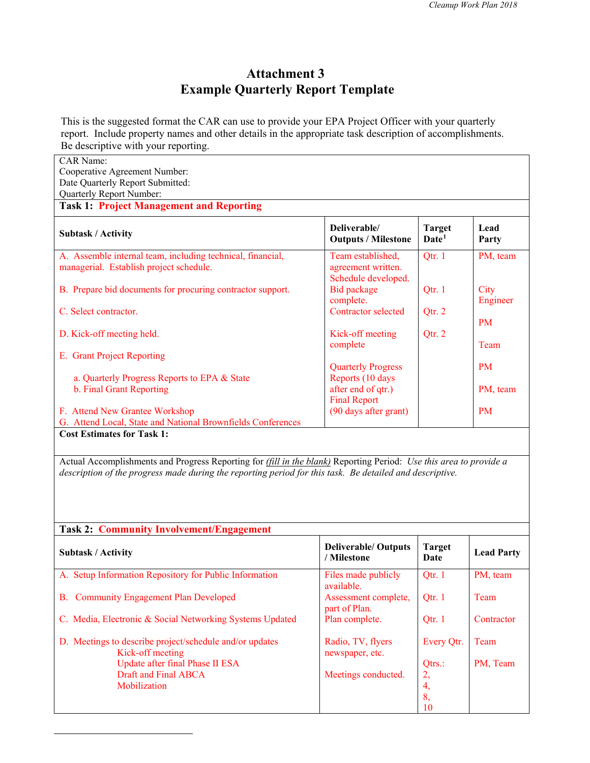### **Attachment 3 Example Quarterly Report Template**

This is the suggested format the CAR can use to provide your EPA Project Officer with your quarterly report. Include property names and other details in the appropriate task description of accomplishments. Be descriptive with your reporting.

| <b>CAR Name:</b><br>Cooperative Agreement Number:<br>Date Quarterly Report Submitted:<br>Quarterly Report Number:                                                                                                                     |                                                                |                                    |                   |
|---------------------------------------------------------------------------------------------------------------------------------------------------------------------------------------------------------------------------------------|----------------------------------------------------------------|------------------------------------|-------------------|
| <b>Task 1: Project Management and Reporting</b>                                                                                                                                                                                       |                                                                |                                    |                   |
| <b>Subtask / Activity</b>                                                                                                                                                                                                             | Deliverable/<br><b>Outputs / Milestone</b>                     | <b>Target</b><br>Date <sup>1</sup> | Lead<br>Party     |
| A. Assemble internal team, including technical, financial,<br>managerial. Establish project schedule.                                                                                                                                 | Team established,<br>agreement written.<br>Schedule developed. | Qtr. 1                             | PM, team          |
| B. Prepare bid documents for procuring contractor support.                                                                                                                                                                            | Bid package<br>complete.                                       | Qtr. 1                             | City<br>Engineer  |
| C. Select contractor.                                                                                                                                                                                                                 | Contractor selected                                            | Qtr. 2                             | <b>PM</b>         |
| D. Kick-off meeting held.                                                                                                                                                                                                             | Kick-off meeting<br>complete                                   | Qtr. 2                             | Team              |
| E. Grant Project Reporting                                                                                                                                                                                                            | <b>Quarterly Progress</b>                                      |                                    | <b>PM</b>         |
| a. Quarterly Progress Reports to EPA & State<br>b. Final Grant Reporting                                                                                                                                                              | Reports (10 days<br>after end of qtr.)                         |                                    | PM, team          |
| F. Attend New Grantee Workshop<br>G. Attend Local, State and National Brownfields Conferences                                                                                                                                         | <b>Final Report</b><br>(90 days after grant)                   |                                    | <b>PM</b>         |
| <b>Cost Estimates for Task 1:</b>                                                                                                                                                                                                     |                                                                |                                    |                   |
| Actual Accomplishments and Progress Reporting for <i>(fill in the blank)</i> Reporting Period: Use this area to provide a<br>description of the progress made during the reporting period for this task. Be detailed and descriptive. |                                                                |                                    |                   |
| <b>Task 2: Community Involvement/Engagement</b>                                                                                                                                                                                       |                                                                |                                    |                   |
| <b>Subtask / Activity</b>                                                                                                                                                                                                             | <b>Deliverable/ Outputs</b><br>/ Milestone                     | <b>Target</b><br>Date              | <b>Lead Party</b> |
| A. Setup Information Repository for Public Information                                                                                                                                                                                | Files made publicly<br>available.                              | Qtr. 1                             | PM, team          |
| B. Community Engagement Plan Developed                                                                                                                                                                                                | Assessment complete,<br>part of Plan.                          | Qtr. 1                             | Team              |
| C. Media, Electronic & Social Networking Systems Updated                                                                                                                                                                              | Plan complete.                                                 | Qtr. 1                             | Contractor        |
| D. Meetings to describe project/schedule and/or updates<br>Kick-off meeting                                                                                                                                                           | Radio, TV, flyers<br>newspaper, etc.                           | Every Qtr.                         | Team              |
| Update after final Phase II ESA<br><b>Draft and Final ABCA</b><br>Mobilization                                                                                                                                                        | Meetings conducted.                                            | Qtrs.:<br>2,<br>4,<br>8,<br>10     | PM, Team          |

<span id="page-13-0"></span> $\overline{a}$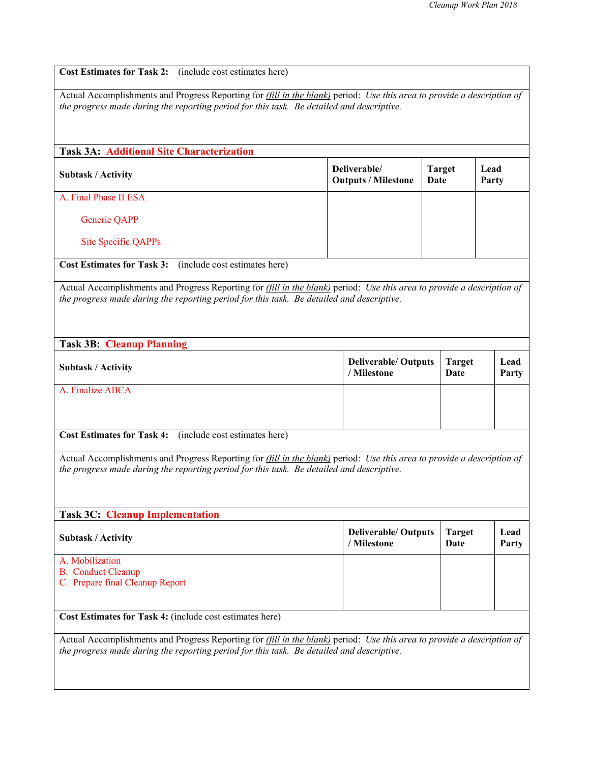|                                                                                                                                                                                                                                                           | Actual Accomplishments and Progress Reporting for <i>(fill in the blank)</i> period: Use this area to provide a description of |                       |               |               |
|-----------------------------------------------------------------------------------------------------------------------------------------------------------------------------------------------------------------------------------------------------------|--------------------------------------------------------------------------------------------------------------------------------|-----------------------|---------------|---------------|
| the progress made during the reporting period for this task. Be detailed and descriptive.                                                                                                                                                                 |                                                                                                                                |                       |               |               |
|                                                                                                                                                                                                                                                           |                                                                                                                                |                       |               |               |
| <b>Task 3A: Additional Site Characterization</b>                                                                                                                                                                                                          |                                                                                                                                |                       |               |               |
|                                                                                                                                                                                                                                                           |                                                                                                                                |                       |               |               |
| <b>Subtask / Activity</b>                                                                                                                                                                                                                                 | Deliverable/<br><b>Outputs / Milestone</b>                                                                                     | <b>Target</b><br>Date |               | Lead<br>Party |
| A. Final Phase II ESA                                                                                                                                                                                                                                     |                                                                                                                                |                       |               |               |
| Generic QAPP                                                                                                                                                                                                                                              |                                                                                                                                |                       |               |               |
| <b>Site Specific QAPPs</b>                                                                                                                                                                                                                                |                                                                                                                                |                       |               |               |
| <b>Cost Estimates for Task 3:</b><br>(include cost estimates here)                                                                                                                                                                                        |                                                                                                                                |                       |               |               |
| Actual Accomplishments and Progress Reporting for (fill in the blank) period: Use this area to provide a description of                                                                                                                                   |                                                                                                                                |                       |               |               |
| the progress made during the reporting period for this task. Be detailed and descriptive.                                                                                                                                                                 |                                                                                                                                |                       |               |               |
|                                                                                                                                                                                                                                                           |                                                                                                                                |                       |               |               |
|                                                                                                                                                                                                                                                           |                                                                                                                                |                       |               |               |
| <b>Task 3B: Cleanup Planning</b>                                                                                                                                                                                                                          |                                                                                                                                |                       |               |               |
|                                                                                                                                                                                                                                                           | <b>Deliverable/ Outputs</b>                                                                                                    |                       | <b>Target</b> |               |
| <b>Subtask / Activity</b>                                                                                                                                                                                                                                 | / Milestone                                                                                                                    | Date                  |               | Party         |
| A. Finalize ABCA                                                                                                                                                                                                                                          |                                                                                                                                |                       |               |               |
|                                                                                                                                                                                                                                                           |                                                                                                                                |                       |               |               |
|                                                                                                                                                                                                                                                           |                                                                                                                                |                       |               |               |
|                                                                                                                                                                                                                                                           |                                                                                                                                |                       |               |               |
| (include cost estimates here)                                                                                                                                                                                                                             |                                                                                                                                |                       |               |               |
|                                                                                                                                                                                                                                                           |                                                                                                                                |                       |               |               |
|                                                                                                                                                                                                                                                           |                                                                                                                                |                       |               |               |
|                                                                                                                                                                                                                                                           |                                                                                                                                |                       |               |               |
|                                                                                                                                                                                                                                                           |                                                                                                                                |                       |               |               |
| <b>Cost Estimates for Task 4:</b><br>Actual Accomplishments and Progress Reporting for (fill in the blank) period: Use this area to provide a description of<br>the progress made during the reporting period for this task. Be detailed and descriptive. |                                                                                                                                |                       |               |               |
| <b>Task 3C: Cleanup Implementation</b>                                                                                                                                                                                                                    |                                                                                                                                |                       |               |               |
| <b>Subtask / Activity</b>                                                                                                                                                                                                                                 | <b>Deliverable/ Outputs</b><br>/ Milestone                                                                                     | <b>Target</b><br>Date |               | Lead<br>Party |
|                                                                                                                                                                                                                                                           |                                                                                                                                |                       |               |               |
|                                                                                                                                                                                                                                                           |                                                                                                                                |                       |               |               |
| A. Mobilization<br><b>B.</b> Conduct Cleanup<br>C. Prepare final Cleanup Report                                                                                                                                                                           |                                                                                                                                |                       |               |               |
| Cost Estimates for Task 4: (include cost estimates here)                                                                                                                                                                                                  |                                                                                                                                |                       |               |               |
| Actual Accomplishments and Progress Reporting for <i>(fill in the blank)</i> period: Use this area to provide a description of                                                                                                                            |                                                                                                                                |                       |               |               |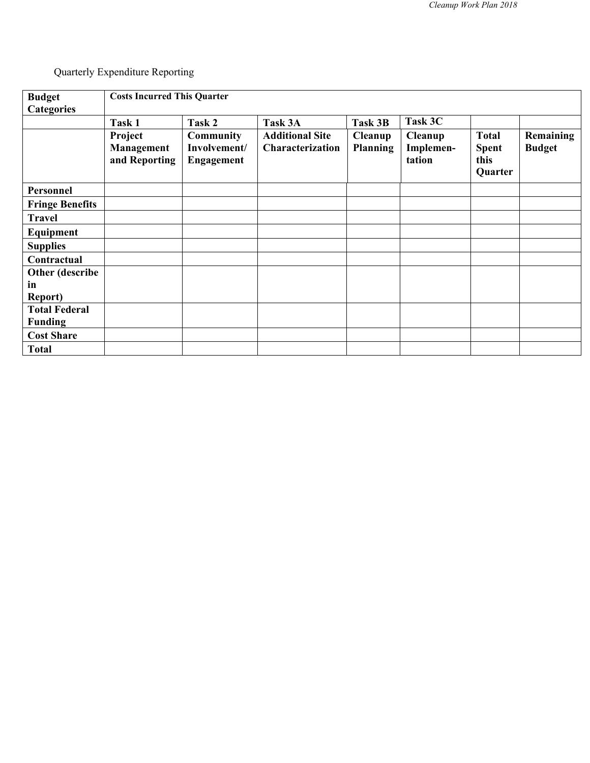Quarterly Expenditure Reporting

| <b>Budget</b>                          | <b>Costs Incurred This Quarter</b>     |                                                       |                                            |                            |                                       |                                                 |                                   |
|----------------------------------------|----------------------------------------|-------------------------------------------------------|--------------------------------------------|----------------------------|---------------------------------------|-------------------------------------------------|-----------------------------------|
| <b>Categories</b>                      |                                        |                                                       |                                            |                            |                                       |                                                 |                                   |
|                                        | Task 1                                 | Task 2                                                | Task 3A                                    | Task 3B                    | Task 3C                               |                                                 |                                   |
|                                        | Project<br>Management<br>and Reporting | <b>Community</b><br>Involvement/<br><b>Engagement</b> | <b>Additional Site</b><br>Characterization | Cleanup<br><b>Planning</b> | <b>Cleanup</b><br>Implemen-<br>tation | <b>Total</b><br><b>Spent</b><br>this<br>Quarter | <b>Remaining</b><br><b>Budget</b> |
| Personnel                              |                                        |                                                       |                                            |                            |                                       |                                                 |                                   |
| <b>Fringe Benefits</b>                 |                                        |                                                       |                                            |                            |                                       |                                                 |                                   |
| <b>Travel</b>                          |                                        |                                                       |                                            |                            |                                       |                                                 |                                   |
| Equipment                              |                                        |                                                       |                                            |                            |                                       |                                                 |                                   |
| <b>Supplies</b>                        |                                        |                                                       |                                            |                            |                                       |                                                 |                                   |
| Contractual                            |                                        |                                                       |                                            |                            |                                       |                                                 |                                   |
| Other (describe                        |                                        |                                                       |                                            |                            |                                       |                                                 |                                   |
| in<br><b>Report</b> )                  |                                        |                                                       |                                            |                            |                                       |                                                 |                                   |
| <b>Total Federal</b><br><b>Funding</b> |                                        |                                                       |                                            |                            |                                       |                                                 |                                   |
| <b>Cost Share</b>                      |                                        |                                                       |                                            |                            |                                       |                                                 |                                   |
| <b>Total</b>                           |                                        |                                                       |                                            |                            |                                       |                                                 |                                   |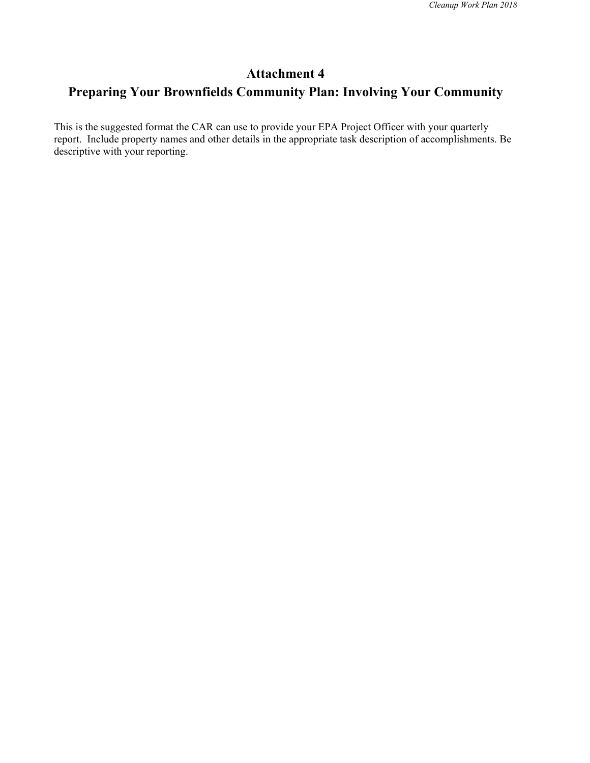### **Attachment 4**

### **Preparing Your Brownfields Community Plan: Involving Your Community**

This is the suggested format the CAR can use to provide your EPA Project Officer with your quarterly report. Include property names and other details in the appropriate task description of accomplishments. Be descriptive with your reporting.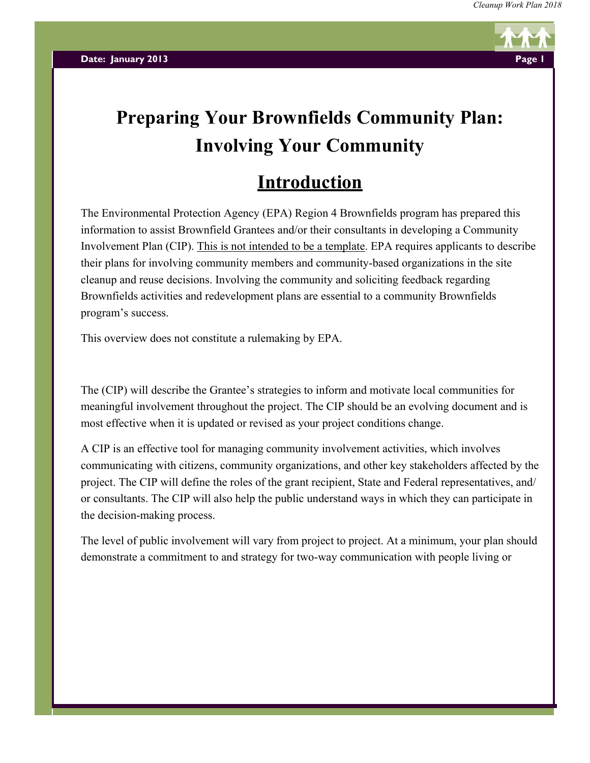

# **Preparing Your Brownfields Community Plan: Involving Your Community**

# **Introduction**

The Environmental Protection Agency (EPA) Region 4 Brownfields program has prepared this information to assist Brownfield Grantees and/or their consultants in developing a Community Involvement Plan (CIP). This is not intended to be a template. EPA requires applicants to describe their plans for involving community members and community-based organizations in the site cleanup and reuse decisions. Involving the community and soliciting feedback regarding Brownfields activities and redevelopment plans are essential to a community Brownfields program's success.

This overview does not constitute a rulemaking by EPA.

The (CIP) will describe the Grantee's strategies to inform and motivate local communities for meaningful involvement throughout the project. The CIP should be an evolving document and is most effective when it is updated or revised as your project conditions change.

A CIP is an effective tool for managing community involvement activities, which involves communicating with citizens, community organizations, and other key stakeholders affected by the project. The CIP will define the roles of the grant recipient, State and Federal representatives, and/ or consultants. The CIP will also help the public understand ways in which they can participate in the decision-making process.

The level of public involvement will vary from project to project. At a minimum, your plan should demonstrate a commitment to and strategy for two-way communication with people living or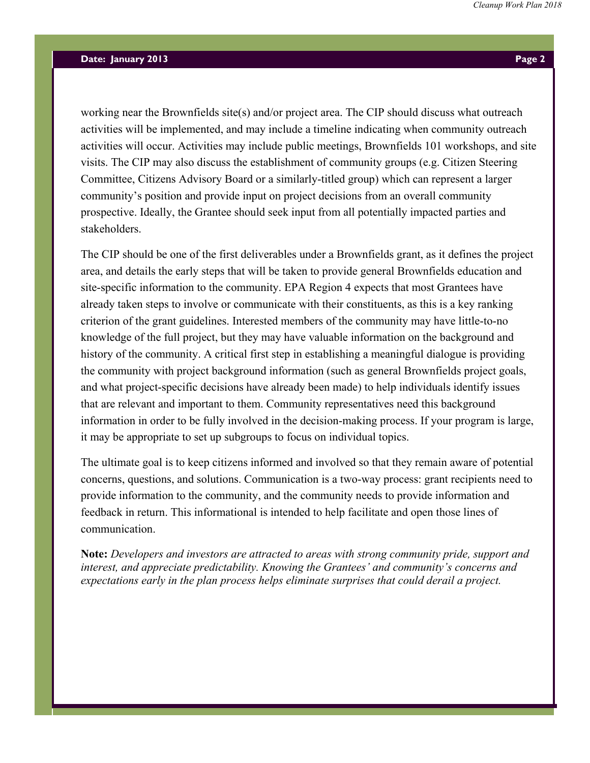working near the Brownfields site(s) and/or project area. The CIP should discuss what outreach activities will be implemented, and may include a timeline indicating when community outreach activities will occur. Activities may include public meetings, Brownfields 101 workshops, and site visits. The CIP may also discuss the establishment of community groups (e.g. Citizen Steering Committee, Citizens Advisory Board or a similarly-titled group) which can represent a larger community's position and provide input on project decisions from an overall community prospective. Ideally, the Grantee should seek input from all potentially impacted parties and stakeholders.

The CIP should be one of the first deliverables under a Brownfields grant, as it defines the project area, and details the early steps that will be taken to provide general Brownfields education and site-specific information to the community. EPA Region 4 expects that most Grantees have already taken steps to involve or communicate with their constituents, as this is a key ranking criterion of the grant guidelines. Interested members of the community may have little-to-no knowledge of the full project, but they may have valuable information on the background and history of the community. A critical first step in establishing a meaningful dialogue is providing the community with project background information (such as general Brownfields project goals, and what project-specific decisions have already been made) to help individuals identify issues that are relevant and important to them. Community representatives need this background information in order to be fully involved in the decision-making process. If your program is large, it may be appropriate to set up subgroups to focus on individual topics.

The ultimate goal is to keep citizens informed and involved so that they remain aware of potential concerns, questions, and solutions. Communication is a two-way process: grant recipients need to provide information to the community, and the community needs to provide information and feedback in return. This informational is intended to help facilitate and open those lines of communication.

**Note:** *Developers and investors are attracted to areas with strong community pride, support and interest, and appreciate predictability. Knowing the Grantees' and community's concerns and expectations early in the plan process helps eliminate surprises that could derail a project.*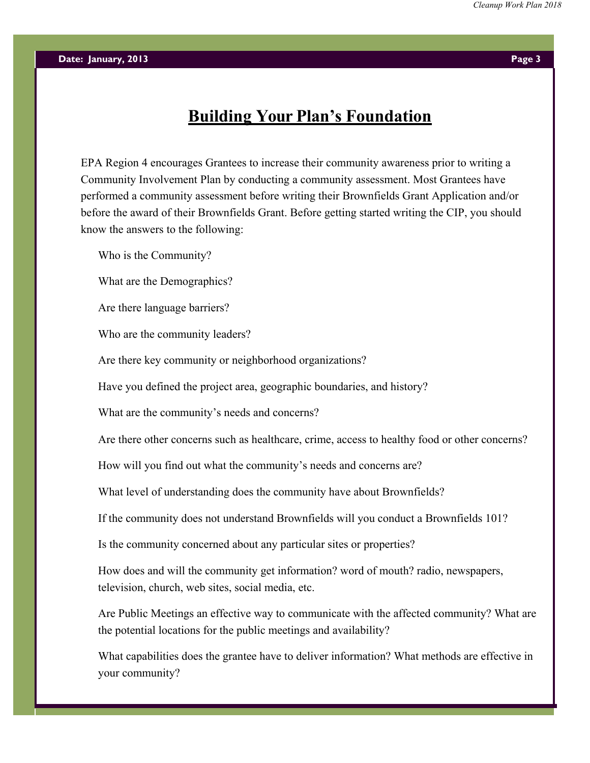### **Building Your Plan's Foundation**

EPA Region 4 encourages Grantees to increase their community awareness prior to writing a Community Involvement Plan by conducting a community assessment. Most Grantees have performed a community assessment before writing their Brownfields Grant Application and/or before the award of their Brownfields Grant. Before getting started writing the CIP, you should know the answers to the following:

Who is the Community?

What are the Demographics?

Are there language barriers?

Who are the community leaders?

Are there key community or neighborhood organizations?

Have you defined the project area, geographic boundaries, and history?

What are the community's needs and concerns?

Are there other concerns such as healthcare, crime, access to healthy food or other concerns?

How will you find out what the community's needs and concerns are?

What level of understanding does the community have about Brownfields?

If the community does not understand Brownfields will you conduct a Brownfields 101?

Is the community concerned about any particular sites or properties?

How does and will the community get information? word of mouth? radio, newspapers, television, church, web sites, social media, etc.

Are Public Meetings an effective way to communicate with the affected community? What are the potential locations for the public meetings and availability?

What capabilities does the grantee have to deliver information? What methods are effective in your community?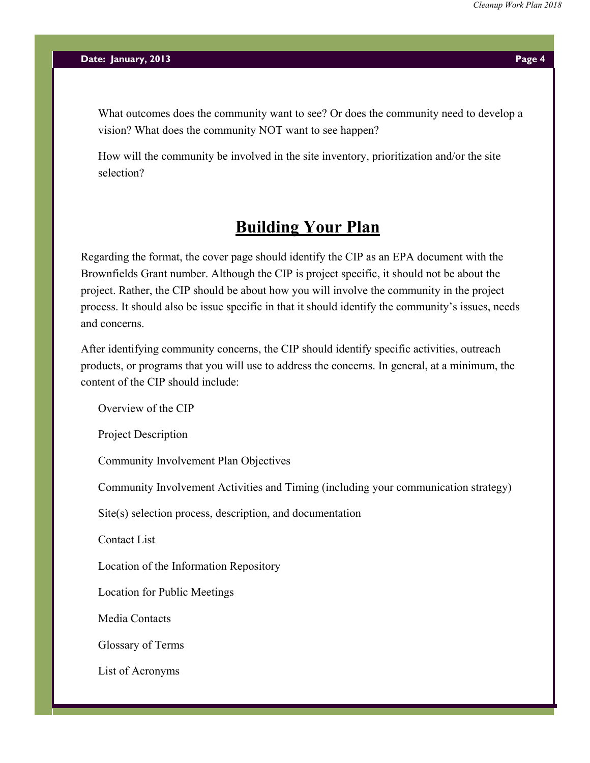What outcomes does the community want to see? Or does the community need to develop a vision? What does the community NOT want to see happen?

How will the community be involved in the site inventory, prioritization and/or the site selection?

### **Building Your Plan**

Regarding the format, the cover page should identify the CIP as an EPA document with the Brownfields Grant number. Although the CIP is project specific, it should not be about the project. Rather, the CIP should be about how you will involve the community in the project process. It should also be issue specific in that it should identify the community's issues, needs and concerns.

After identifying community concerns, the CIP should identify specific activities, outreach products, or programs that you will use to address the concerns. In general, at a minimum, the content of the CIP should include:

Overview of the CIP

Project Description

Community Involvement Plan Objectives

Community Involvement Activities and Timing (including your communication strategy)

Site(s) selection process, description, and documentation

Contact List

Location of the Information Repository

Location for Public Meetings

Media Contacts

Glossary of Terms

List of Acronyms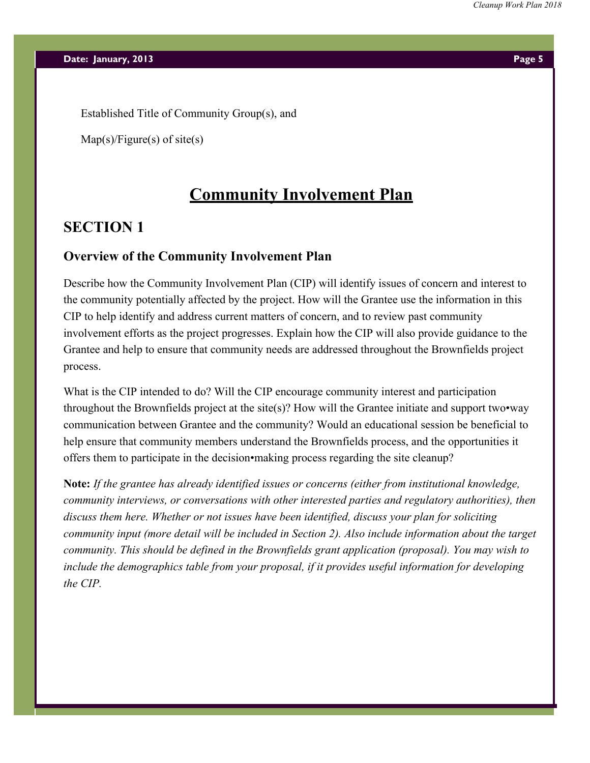Established Title of Community Group(s), and

 $Map(s)/Figure(s)$  of site(s)

### **Community Involvement Plan**

### **SECTION 1**

### **Overview of the Community Involvement Plan**

Describe how the Community Involvement Plan (CIP) will identify issues of concern and interest to the community potentially affected by the project. How will the Grantee use the information in this CIP to help identify and address current matters of concern, and to review past community involvement efforts as the project progresses. Explain how the CIP will also provide guidance to the Grantee and help to ensure that community needs are addressed throughout the Brownfields project process.

What is the CIP intended to do? Will the CIP encourage community interest and participation throughout the Brownfields project at the site(s)? How will the Grantee initiate and support two•way communication between Grantee and the community? Would an educational session be beneficial to help ensure that community members understand the Brownfields process, and the opportunities it offers them to participate in the decision•making process regarding the site cleanup?

**Note:** *If the grantee has already identified issues or concerns (either from institutional knowledge, community interviews, or conversations with other interested parties and regulatory authorities), then discuss them here. Whether or not issues have been identified, discuss your plan for soliciting community input (more detail will be included in Section 2). Also include information about the target community. This should be defined in the Brownfields grant application (proposal). You may wish to include the demographics table from your proposal, if it provides useful information for developing the CIP.*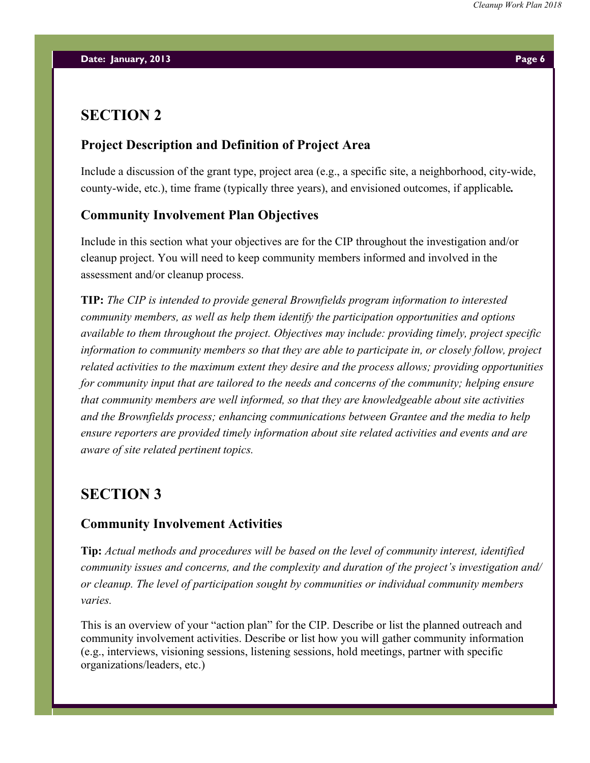### **SECTION 2**

### **Project Description and Definition of Project Area**

Include a discussion of the grant type, project area (e.g., a specific site, a neighborhood, city-wide, county-wide, etc.), time frame (typically three years), and envisioned outcomes, if applicable*.*

### **Community Involvement Plan Objectives**

Include in this section what your objectives are for the CIP throughout the investigation and/or cleanup project. You will need to keep community members informed and involved in the assessment and/or cleanup process.

**TIP:** *The CIP is intended to provide general Brownfields program information to interested community members, as well as help them identify the participation opportunities and options available to them throughout the project. Objectives may include: providing timely, project specific information to community members so that they are able to participate in, or closely follow, project related activities to the maximum extent they desire and the process allows; providing opportunities for community input that are tailored to the needs and concerns of the community; helping ensure that community members are well informed, so that they are knowledgeable about site activities and the Brownfields process; enhancing communications between Grantee and the media to help ensure reporters are provided timely information about site related activities and events and are aware of site related pertinent topics.*

### **SECTION 3**

### **Community Involvement Activities**

**Tip:** *Actual methods and procedures will be based on the level of community interest, identified community issues and concerns, and the complexity and duration of the project's investigation and/ or cleanup. The level of participation sought by communities or individual community members varies.*

This is an overview of your "action plan" for the CIP. Describe or list the planned outreach and community involvement activities. Describe or list how you will gather community information (e.g., interviews, visioning sessions, listening sessions, hold meetings, partner with specific organizations/leaders, etc.)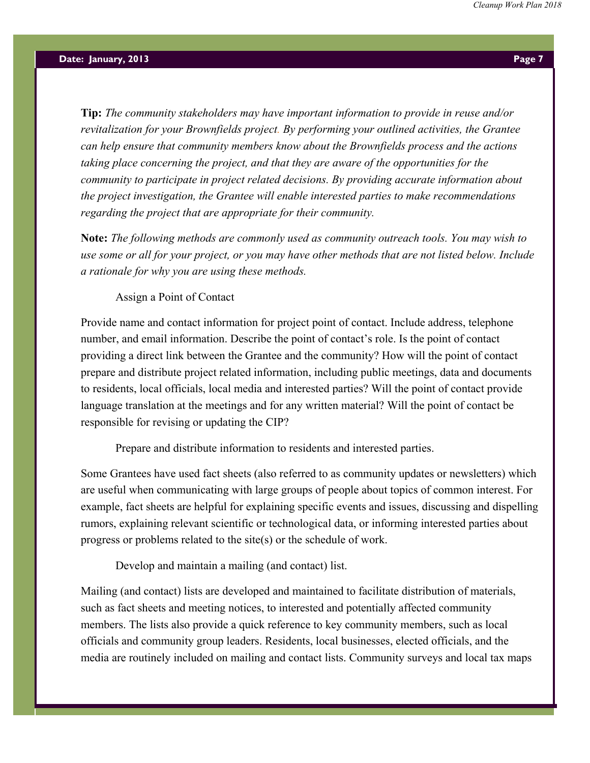**Tip:** *The community stakeholders may have important information to provide in reuse and/or revitalization for your Brownfields project. By performing your outlined activities, the Grantee can help ensure that community members know about the Brownfields process and the actions taking place concerning the project, and that they are aware of the opportunities for the community to participate in project related decisions. By providing accurate information about the project investigation, the Grantee will enable interested parties to make recommendations regarding the project that are appropriate for their community.*

**Note:** *The following methods are commonly used as community outreach tools. You may wish to use some or all for your project, or you may have other methods that are not listed below. Include a rationale for why you are using these methods.*

Assign a Point of Contact

Provide name and contact information for project point of contact. Include address, telephone number, and email information. Describe the point of contact's role. Is the point of contact providing a direct link between the Grantee and the community? How will the point of contact prepare and distribute project related information, including public meetings, data and documents to residents, local officials, local media and interested parties? Will the point of contact provide language translation at the meetings and for any written material? Will the point of contact be responsible for revising or updating the CIP?

Prepare and distribute information to residents and interested parties.

Some Grantees have used fact sheets (also referred to as community updates or newsletters) which are useful when communicating with large groups of people about topics of common interest. For example, fact sheets are helpful for explaining specific events and issues, discussing and dispelling rumors, explaining relevant scientific or technological data, or informing interested parties about progress or problems related to the site(s) or the schedule of work.

Develop and maintain a mailing (and contact) list.

Mailing (and contact) lists are developed and maintained to facilitate distribution of materials, such as fact sheets and meeting notices, to interested and potentially affected community members. The lists also provide a quick reference to key community members, such as local officials and community group leaders. Residents, local businesses, elected officials, and the media are routinely included on mailing and contact lists. Community surveys and local tax maps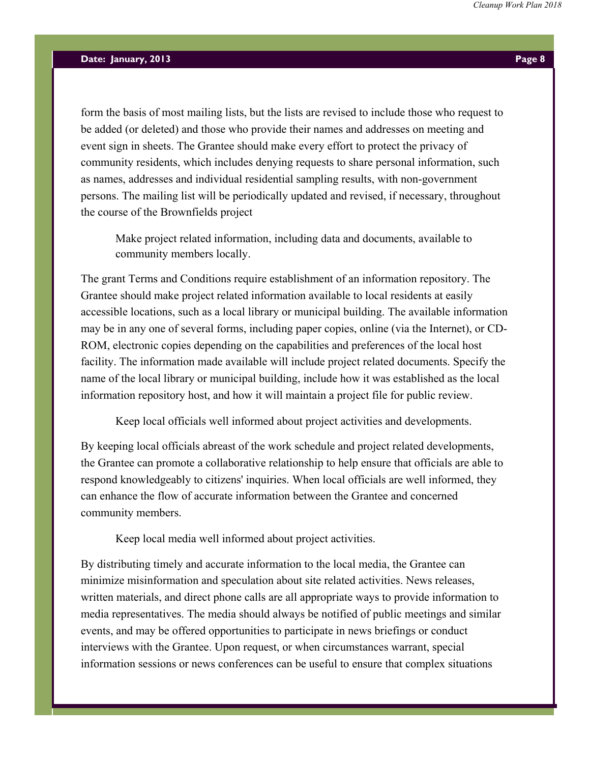form the basis of most mailing lists, but the lists are revised to include those who request to be added (or deleted) and those who provide their names and addresses on meeting and event sign in sheets. The Grantee should make every effort to protect the privacy of community residents, which includes denying requests to share personal information, such as names, addresses and individual residential sampling results, with non-government persons. The mailing list will be periodically updated and revised, if necessary, throughout the course of the Brownfields project

Make project related information, including data and documents, available to community members locally.

The grant Terms and Conditions require establishment of an information repository. The Grantee should make project related information available to local residents at easily accessible locations, such as a local library or municipal building. The available information may be in any one of several forms, including paper copies, online (via the Internet), or CD-ROM, electronic copies depending on the capabilities and preferences of the local host facility. The information made available will include project related documents. Specify the name of the local library or municipal building, include how it was established as the local information repository host, and how it will maintain a project file for public review.

Keep local officials well informed about project activities and developments.

By keeping local officials abreast of the work schedule and project related developments, the Grantee can promote a collaborative relationship to help ensure that officials are able to respond knowledgeably to citizens' inquiries. When local officials are well informed, they can enhance the flow of accurate information between the Grantee and concerned community members.

Keep local media well informed about project activities.

By distributing timely and accurate information to the local media, the Grantee can minimize misinformation and speculation about site related activities. News releases, written materials, and direct phone calls are all appropriate ways to provide information to media representatives. The media should always be notified of public meetings and similar events, and may be offered opportunities to participate in news briefings or conduct interviews with the Grantee. Upon request, or when circumstances warrant, special information sessions or news conferences can be useful to ensure that complex situations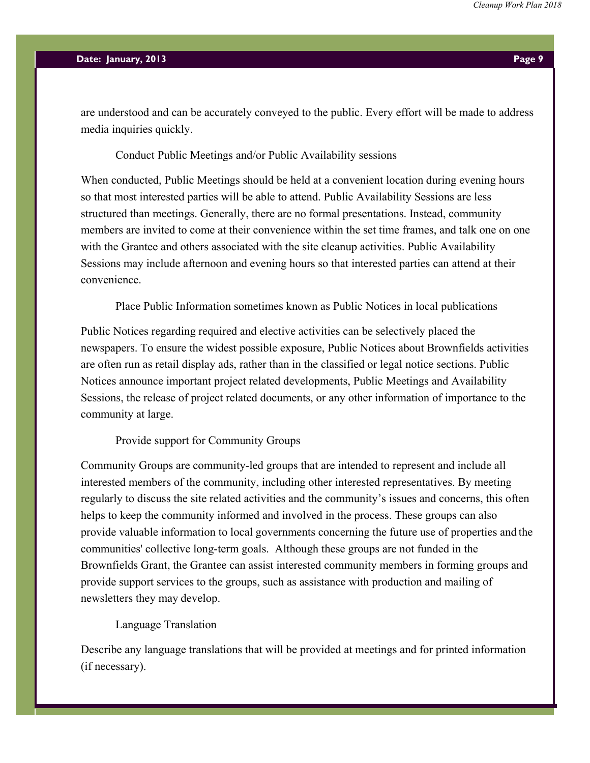are understood and can be accurately conveyed to the public. Every effort will be made to address media inquiries quickly.

#### Conduct Public Meetings and/or Public Availability sessions

When conducted, Public Meetings should be held at a convenient location during evening hours so that most interested parties will be able to attend. Public Availability Sessions are less structured than meetings. Generally, there are no formal presentations. Instead, community members are invited to come at their convenience within the set time frames, and talk one on one with the Grantee and others associated with the site cleanup activities. Public Availability Sessions may include afternoon and evening hours so that interested parties can attend at their convenience.

Place Public Information sometimes known as Public Notices in local publications

Public Notices regarding required and elective activities can be selectively placed the newspapers. To ensure the widest possible exposure, Public Notices about Brownfields activities are often run as retail display ads, rather than in the classified or legal notice sections. Public Notices announce important project related developments, Public Meetings and Availability Sessions, the release of project related documents, or any other information of importance to the community at large.

Provide support for Community Groups

Community Groups are community-led groups that are intended to represent and include all interested members of the community, including other interested representatives. By meeting regularly to discuss the site related activities and the community's issues and concerns, this often helps to keep the community informed and involved in the process. These groups can also provide valuable information to local governments concerning the future use of properties and the communities' collective long-term goals. Although these groups are not funded in the Brownfields Grant, the Grantee can assist interested community members in forming groups and provide support services to the groups, such as assistance with production and mailing of newsletters they may develop.

#### Language Translation

Describe any language translations that will be provided at meetings and for printed information (if necessary).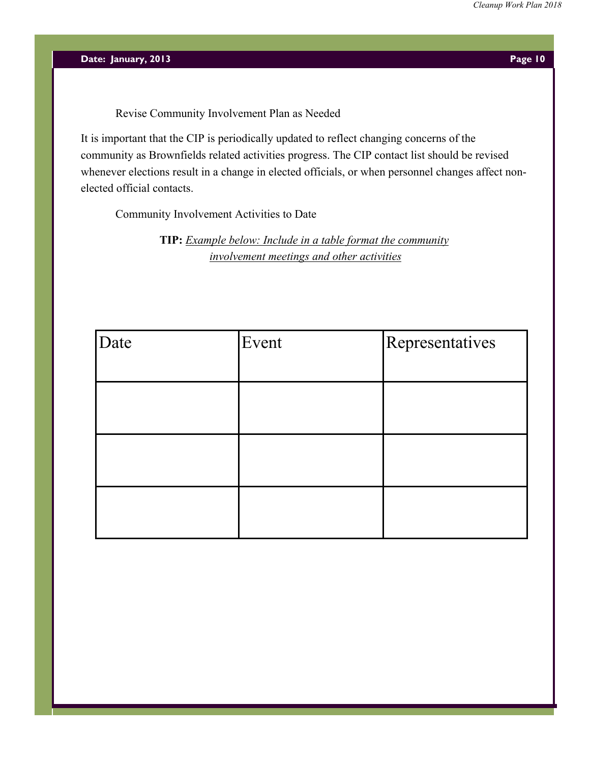Revise Community Involvement Plan as Needed

It is important that the CIP is periodically updated to reflect changing concerns of the community as Brownfields related activities progress. The CIP contact list should be revised whenever elections result in a change in elected officials, or when personnel changes affect nonelected official contacts.

Community Involvement Activities to Date

**TIP:** *Example below: Include in a table format the community involvement meetings and other activities*

| Date | Event | Representatives |
|------|-------|-----------------|
|      |       |                 |
|      |       |                 |
|      |       |                 |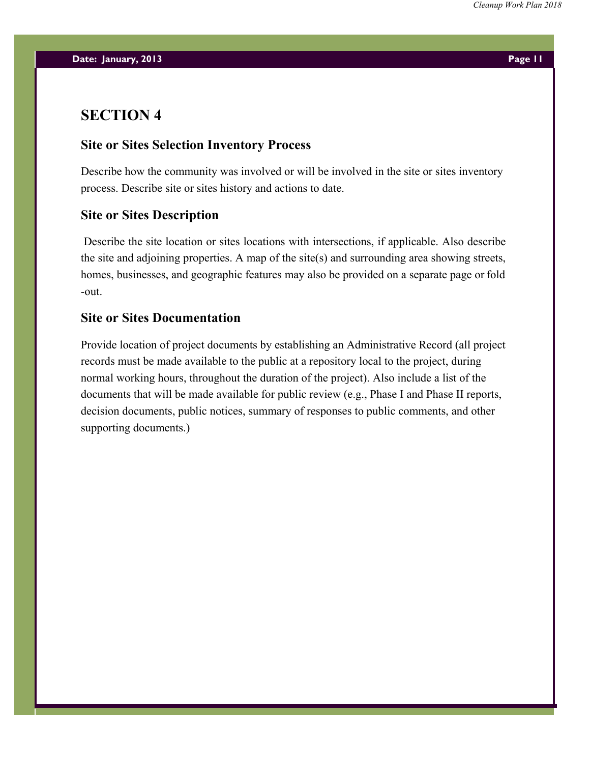### **SECTION 4**

### **Site or Sites Selection Inventory Process**

Describe how the community was involved or will be involved in the site or sites inventory process. Describe site or sites history and actions to date.

### **Site or Sites Description**

Describe the site location or sites locations with intersections, if applicable. Also describe the site and adjoining properties. A map of the site(s) and surrounding area showing streets, homes, businesses, and geographic features may also be provided on a separate page or fold -out.

### **Site or Sites Documentation**

Provide location of project documents by establishing an Administrative Record (all project records must be made available to the public at a repository local to the project, during normal working hours, throughout the duration of the project). Also include a list of the documents that will be made available for public review (e.g., Phase I and Phase II reports, decision documents, public notices, summary of responses to public comments, and other supporting documents.)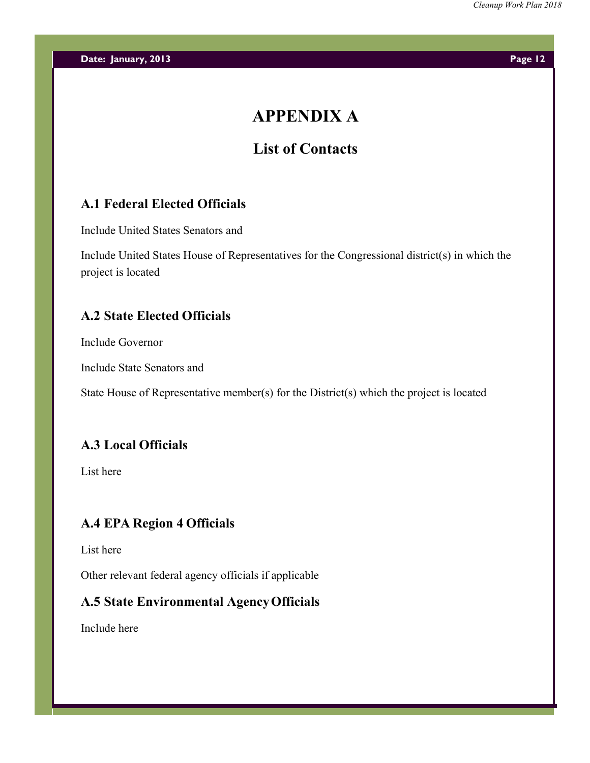# **APPENDIX A**

## **List of Contacts**

### **A.1 Federal Elected Officials**

Include United States Senators and

Include United States House of Representatives for the Congressional district(s) in which the project is located

### **A.2 State Elected Officials**

Include Governor

Include State Senators and

State House of Representative member(s) for the District(s) which the project is located

### **A.3 Local Officials**

List here

### **A.4 EPA Region 4 Officials**

List here

Other relevant federal agency officials if applicable

### **A.5 State Environmental AgencyOfficials**

Include here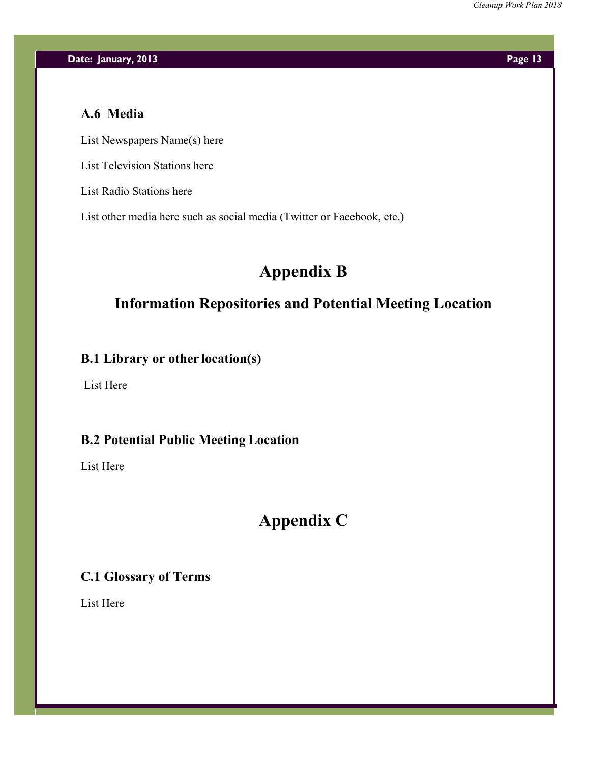### **A.6 Media**

List Newspapers Name(s) here

List Television Stations here

List Radio Stations here

List other media here such as social media (Twitter or Facebook, etc.)

# **Appendix B**

### **Information Repositories and Potential Meeting Location**

### **B.1 Library or other location(s)**

List Here

### **B.2 Potential Public Meeting Location**

List Here

## **Appendix C**

### **C.1 Glossary of Terms**

List Here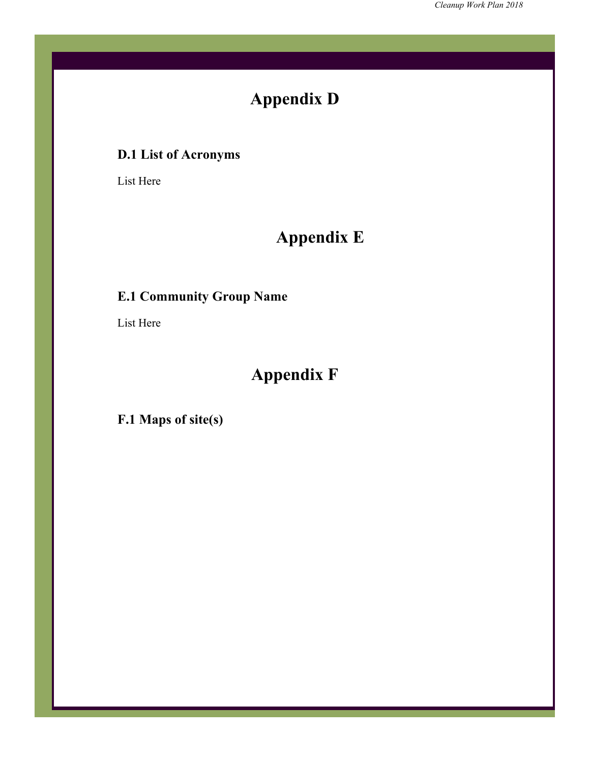# **Appendix D**

# **D.1 List of Acronyms**

List Here

# **Appendix E**

## **E.1 Community Group Name**

List Here

# **Appendix F**

**F.1 Maps of site(s)**